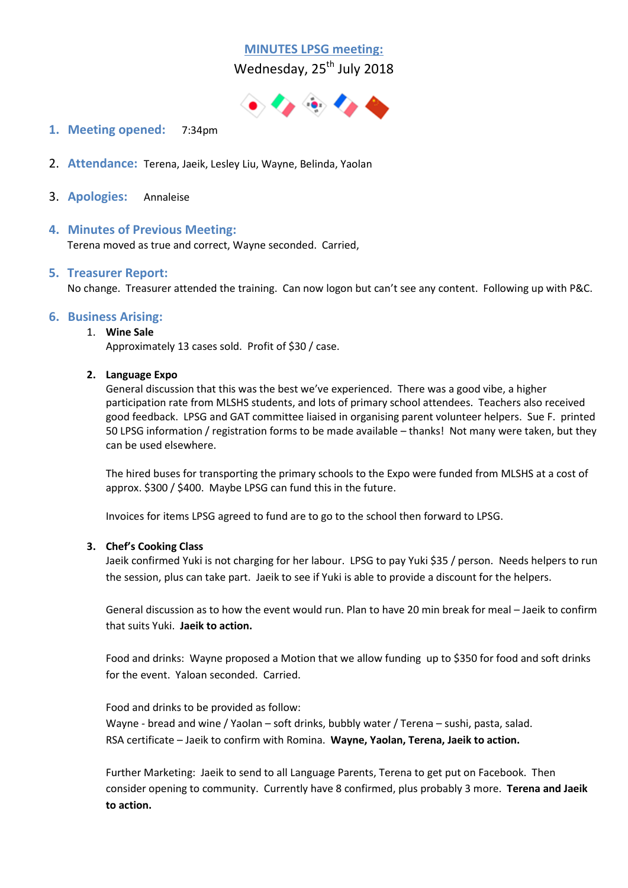# **MINUTES LPSG meeting:**

Wednesday, 25<sup>th</sup> July 2018



- **1. Meeting opened:** 7:34pm
- 2. **Attendance:** Terena, Jaeik, Lesley Liu, Wayne, Belinda, Yaolan
- 3. **Apologies:** Annaleise

## **4. Minutes of Previous Meeting:**

Terena moved as true and correct, Wayne seconded. Carried,

## **5. Treasurer Report:**

No change. Treasurer attended the training. Can now logon but can't see any content. Following up with P&C.

## **6. Business Arising:**

#### 1. **Wine Sale**

Approximately 13 cases sold. Profit of \$30 / case.

#### **2. Language Expo**

General discussion that this was the best we've experienced. There was a good vibe, a higher participation rate from MLSHS students, and lots of primary school attendees. Teachers also received good feedback. LPSG and GAT committee liaised in organising parent volunteer helpers. Sue F. printed 50 LPSG information / registration forms to be made available – thanks! Not many were taken, but they can be used elsewhere.

The hired buses for transporting the primary schools to the Expo were funded from MLSHS at a cost of approx. \$300 / \$400. Maybe LPSG can fund this in the future.

Invoices for items LPSG agreed to fund are to go to the school then forward to LPSG.

## **3. Chef's Cooking Class**

Jaeik confirmed Yuki is not charging for her labour. LPSG to pay Yuki \$35 / person. Needs helpers to run the session, plus can take part. Jaeik to see if Yuki is able to provide a discount for the helpers.

General discussion as to how the event would run. Plan to have 20 min break for meal – Jaeik to confirm that suits Yuki. **Jaeik to action.**

Food and drinks: Wayne proposed a Motion that we allow funding up to \$350 for food and soft drinks for the event. Yaloan seconded. Carried.

Food and drinks to be provided as follow:

Wayne - bread and wine / Yaolan – soft drinks, bubbly water / Terena – sushi, pasta, salad. RSA certificate – Jaeik to confirm with Romina. **Wayne, Yaolan, Terena, Jaeik to action.**

Further Marketing: Jaeik to send to all Language Parents, Terena to get put on Facebook. Then consider opening to community. Currently have 8 confirmed, plus probably 3 more. **Terena and Jaeik to action.**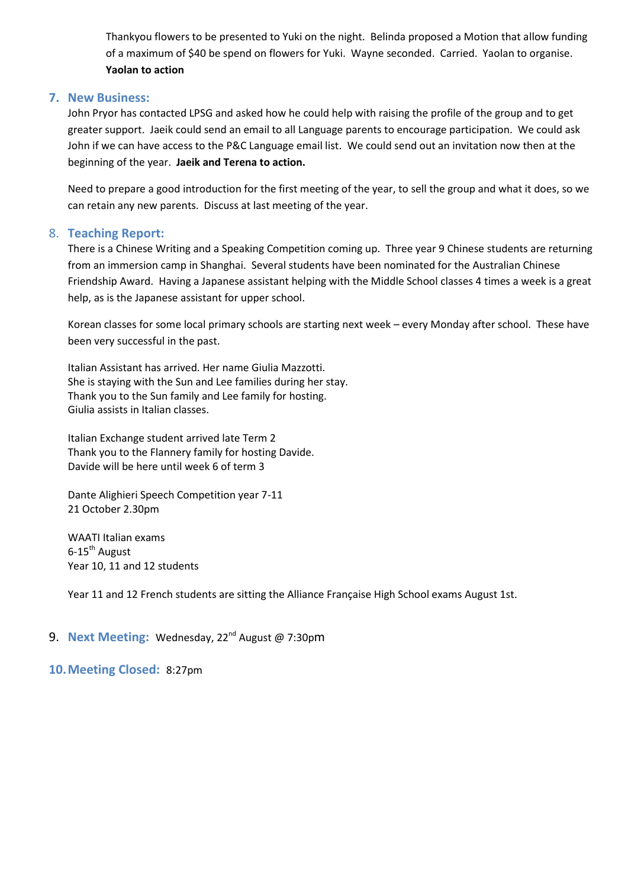Thankyou flowers to be presented to Yuki on the night. Belinda proposed a Motion that allow funding of a maximum of \$40 be spend on flowers for Yuki. Wayne seconded. Carried. Yaolan to organise. **Yaolan to action**

#### **7. New Business:**

John Pryor has contacted LPSG and asked how he could help with raising the profile of the group and to get greater support. Jaeik could send an email to all Language parents to encourage participation. We could ask John if we can have access to the P&C Language email list. We could send out an invitation now then at the beginning of the year. **Jaeik and Terena to action.**

Need to prepare a good introduction for the first meeting of the year, to sell the group and what it does, so we can retain any new parents. Discuss at last meeting of the year.

## 8. **Teaching Report:**

There is a Chinese Writing and a Speaking Competition coming up. Three year 9 Chinese students are returning from an immersion camp in Shanghai. Several students have been nominated for the Australian Chinese Friendship Award. Having a Japanese assistant helping with the Middle School classes 4 times a week is a great help, as is the Japanese assistant for upper school.

Korean classes for some local primary schools are starting next week – every Monday after school. These have been very successful in the past.

Italian Assistant has arrived. Her name Giulia Mazzotti. She is staying with the Sun and Lee families during her stay. Thank you to the Sun family and Lee family for hosting. Giulia assists in Italian classes.

Italian Exchange student arrived late Term 2 Thank you to the Flannery family for hosting Davide. Davide will be here until week 6 of term 3

Dante Alighieri Speech Competition year 7-11 21 October 2.30pm

WAATI Italian exams  $6-15^{th}$  August Year 10, 11 and 12 students

Year 11 and 12 French students are sitting the Alliance Française High School exams August 1st.

## 9. Next Meeting: Wednesday, 22<sup>nd</sup> August @ 7:30pm

#### **10.Meeting Closed:** 8:27pm